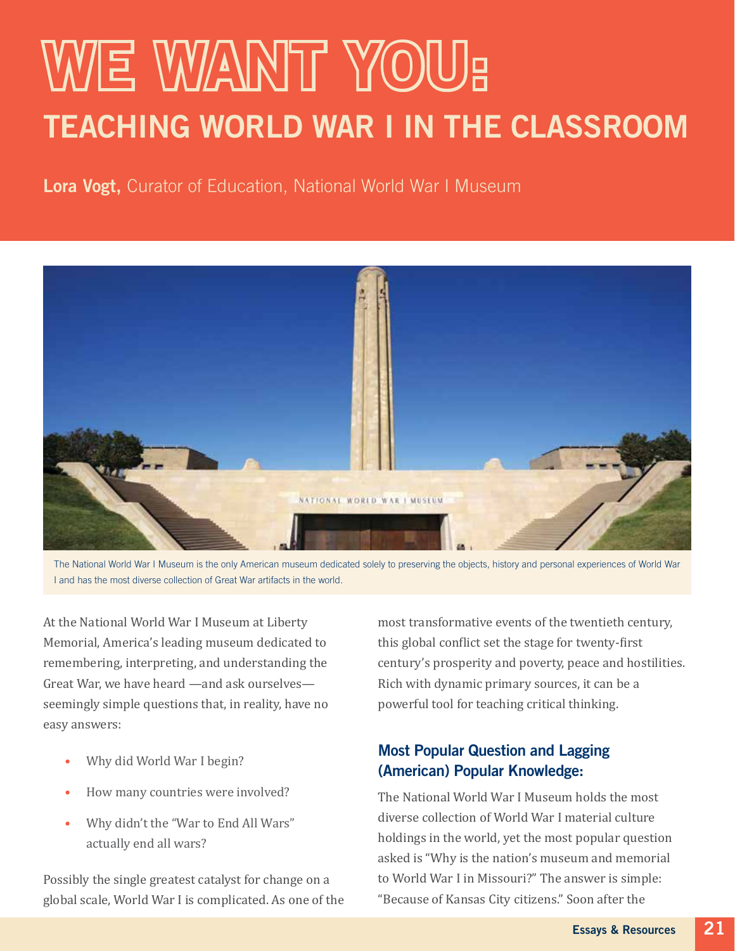# WE WANT YOU: TEACHING WORLD WAR I IN THE CLASSROOM

Lora Vogt, Curator of Education, National World War I Museum



The National World War I Museum is the only American museum dedicated solely to preserving the objects, history and personal experiences of World War I and has the most diverse collection of Great War artifacts in the world.

At the National World War I Museum at Liberty Memorial, America's leading museum dedicated to remembering, interpreting, and understanding the Great War, we have heard —and ask ourselves seemingly simple questions that, in reality, have no easy answers:

- Why did World War I begin?
- How many countries were involved?
- Why didn't the "War to End All Wars" actually end all wars?

Possibly the single greatest catalyst for change on a global scale, World War I is complicated. As one of the most transformative events of the twentieth century, this global conflict set the stage for twenty-first century's prosperity and poverty, peace and hostilities. Rich with dynamic primary sources, it can be a powerful tool for teaching critical thinking.

# Most Popular Question and Lagging (American) Popular Knowledge:

The National World War I Museum holds the most diverse collection of World War I material culture holdings in the world, yet the most popular question asked is "Why is the nation's museum and memorial to World War I in Missouri?" The answer is simple: "Because of Kansas City citizens." Soon after the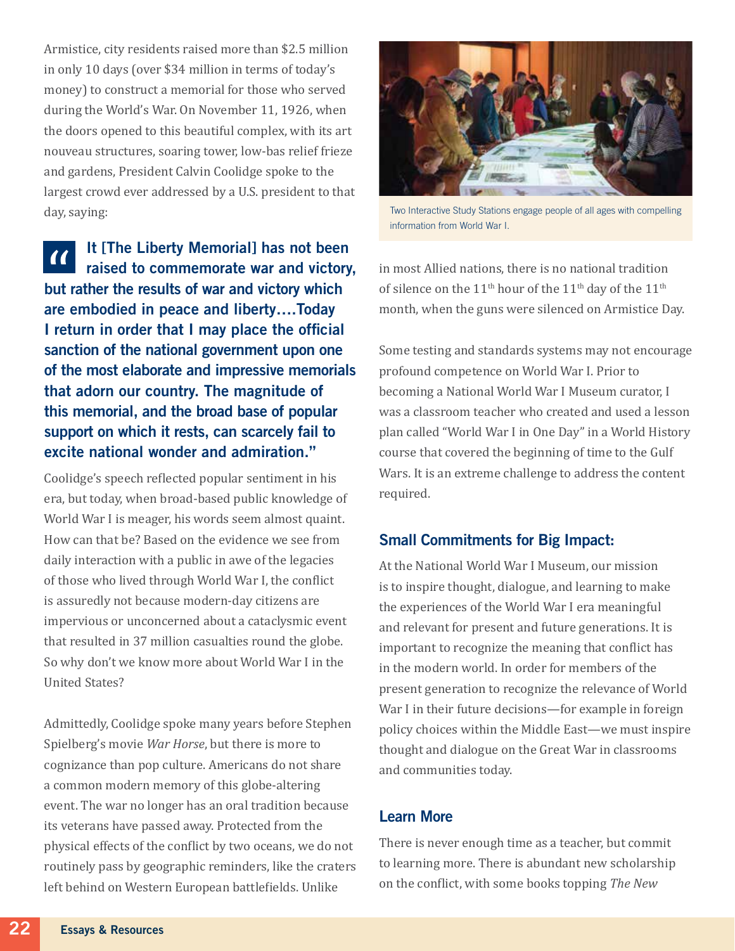Armistice, city residents raised more than \$2.5 million in only 10 days (over \$34 million in terms of today's money) to construct a memorial for those who served during the World's War. On November 11, 1926, when the doors opened to this beautiful complex, with its art nouveau structures, soaring tower, low-bas relief frieze and gardens, President Calvin Coolidge spoke to the largest crowd ever addressed by a U.S. president to that day, saying:

It [The Liberty Memorial] has not been  $\alpha$ raised to commemorate war and victory, but rather the results of war and victory which are embodied in peace and liberty….Today I return in order that I may place the official sanction of the national government upon one of the most elaborate and impressive memorials that adorn our country. The magnitude of this memorial, and the broad base of popular support on which it rests, can scarcely fail to excite national wonder and admiration."

Coolidge's speech reflected popular sentiment in his era, but today, when broad-based public knowledge of World War I is meager, his words seem almost quaint. How can that be? Based on the evidence we see from daily interaction with a public in awe of the legacies of those who lived through World War I, the conflict is assuredly not because modern-day citizens are impervious or unconcerned about a cataclysmic event that resulted in 37 million casualties round the globe. So why don't we know more about World War I in the United States?

Admittedly, Coolidge spoke many years before Stephen Spielberg's movie *War Horse*, but there is more to cognizance than pop culture. Americans do not share a common modern memory of this globe-altering event. The war no longer has an oral tradition because its veterans have passed away. Protected from the physical effects of the conflict by two oceans, we do not routinely pass by geographic reminders, like the craters left behind on Western European battlefields. Unlike



Two Interactive Study Stations engage people of all ages with compelling information from World War I.

in most Allied nations, there is no national tradition of silence on the 11<sup>th</sup> hour of the 11<sup>th</sup> day of the 11<sup>th</sup> month, when the guns were silenced on Armistice Day.

Some testing and standards systems may not encourage profound competence on World War I. Prior to becoming a National World War I Museum curator, I was a classroom teacher who created and used a lesson plan called "World War I in One Day" in a World History course that covered the beginning of time to the Gulf Wars. It is an extreme challenge to address the content required.

## Small Commitments for Big Impact:

At the National World War I Museum, our mission is to inspire thought, dialogue, and learning to make the experiences of the World War I era meaningful and relevant for present and future generations. It is important to recognize the meaning that conflict has in the modern world. In order for members of the present generation to recognize the relevance of World War I in their future decisions—for example in foreign policy choices within the Middle East—we must inspire thought and dialogue on the Great War in classrooms and communities today.

## Learn More

There is never enough time as a teacher, but commit to learning more. There is abundant new scholarship on the conflict, with some books topping *The New*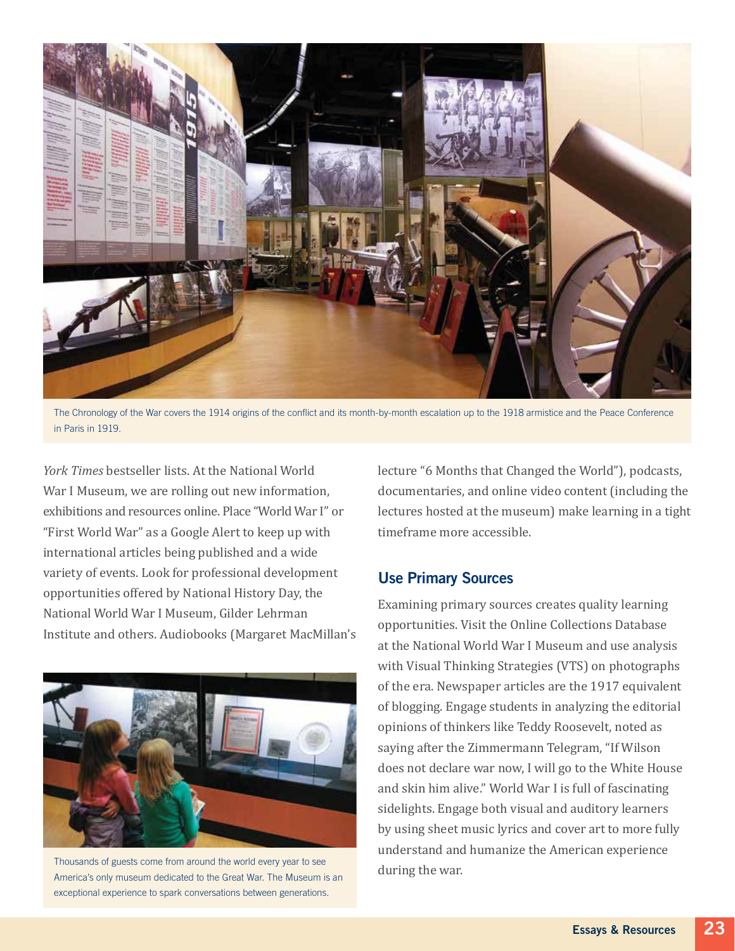

The Chronology of the War covers the 1914 origins of the conflict and its month-by-month escalation up to the 1918 armistice and the Peace Conference in Paris in 1919.

*York Times* bestseller lists. At the National World War I Museum, we are rolling out new information. exhibitions and resources online. Place "World War I" or "First World War" as a Google Alert to keep up with international articles being published and a wide variety of events. Look for professional development opportunities offered by National History Day, the National World War I Museum, Gilder Lehrman Institute and others. Audiobooks (Margaret MacMillan's



Thousands of guests come from around the world every year to see **the communist of the war.**<br>America's only museum dedicated to the Great War. The Museum is an **communist of the war.** exceptional experience to spark conversations between generations.

lecture "6 Months that Changed the World"), podcasts, documentaries, and online video content (including the lectures hosted at the museum) make learning in a tight timeframe more accessible.

#### Use Primary Sources

Examining primary sources creates quality learning opportunities. Visit the Online Collections Database at the National World War I Museum and use analysis with Visual Thinking Strategies (VTS) on photographs of the era. Newspaper articles are the 1917 equivalent of blogging. Engage students in analyzing the editorial opinions of thinkers like Teddy Roosevelt, noted as saying after the Zimmermann Telegram, "If Wilson does not declare war now, I will go to the White House and skin him alive." World War I is full of fascinating sidelights. Engage both visual and auditory learners by using sheet music lyrics and cover art to more fully understand and humanize the American experience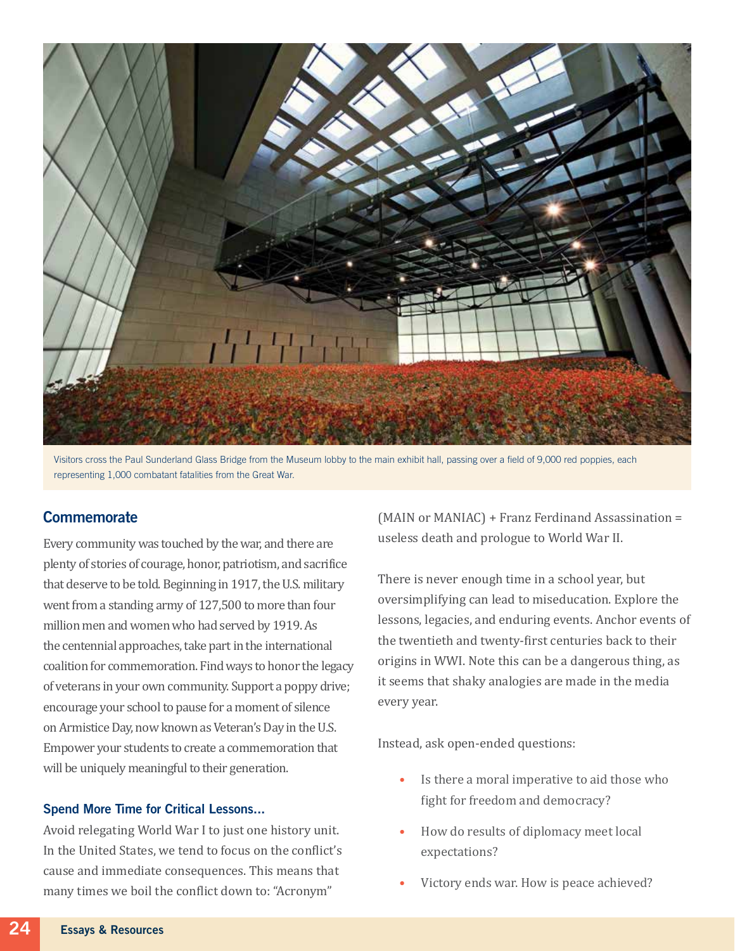

Visitors cross the Paul Sunderland Glass Bridge from the Museum lobby to the main exhibit hall, passing over a field of 9,000 red poppies, each representing 1,000 combatant fatalities from the Great War.

### **Commemorate**

Every community was touched by the war, and there are plenty of stories of courage, honor, patriotism, and sacrifice that deserve to be told. Beginning in 1917, the U.S. military went from a standing army of 127,500 to more than four million men and women who had served by 1919. As the centennial approaches, take part in the international coalition for commemoration. Find ways to honor the legacy of veterans in your own community. Support a poppy drive; encourage your school to pause for a moment of silence on Armistice Day, now known as Veteran's Day in the U.S. Empower your students to create a commemoration that will be uniquely meaningful to their generation.

#### Spend More Time for Critical Lessons...

Avoid relegating World War I to just one history unit. In the United States, we tend to focus on the conflict's cause and immediate consequences. This means that many times we boil the conflict down to: "Acronym"

(MAIN or MANIAC) + Franz Ferdinand Assassination = useless death and prologue to World War II.

There is never enough time in a school year, but oversimplifying can lead to miseducation. Explore the lessons, legacies, and enduring events. Anchor events of the twentieth and twenty-first centuries back to their origins in WWI. Note this can be a dangerous thing, as it seems that shaky analogies are made in the media every year.

Instead, ask open-ended questions:

- Is there a moral imperative to aid those who fight for freedom and democracy?
- How do results of diplomacy meet local expectations?
- Victory ends war. How is peace achieved?